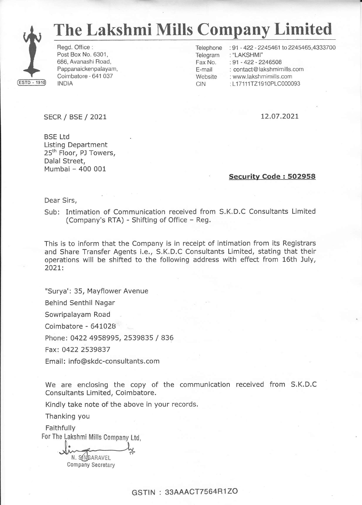

# The Lakshmi Mills Company Limited

CIN

Regd. Office : Post Box No. 6301, 686, Avanashi Road, Pappanaickenpalayam, Coimbatore - 641 037 INDIA

Telephone :91 - 422 - 2245461 to 2245465,4333700

Telegram : "LAKSHMI"

Fax No. . 91 - 422 - 2246504

E-mail : contact@ lakshmimills.com

**Website** : www.lakshmimills.com

: L17111TZ1910PLC000093

### sEcR/BSE/2021

L2.07.202L

BSE Ltd Listing Department 25<sup>th</sup> Floor, PJ Towers, Dalal Street, Mumbai - 400 001

#### Securitv Code : 5O2958

Dear Sirs,

Sub: Intimation of Communication received from S.K.D.C Consultants Limited (Company's RTA) - Shifting of Office - Reg.

This is to inform that the Company is in receipt of intimation from its Registrars and Share Transfer Agents i.e., S.K.D.C Consultants Limited, stating that their operations will be shifted to the following address with efFect from 16th July, 202t:

"Surya': 35, Mayflower Avenue

Behind Senthil Nagar

Sowripalayam Road

Coimbatore - 641028

Phone: 0422 4958995, 2539835 / 836

Fax: 0422 2539837

Email: info@skdc-consultants.com

We are enclosing the copy of the communication received from S.K.D.C Consultants Limited, Coimbatore.

Kindly take note of the above in your records.

Thanking you

Faithfully For The Lakshmi Miils Company Ltd,

N. SINGARAVEL **Company Secretary** 

## GSTIN : 33AAACT7564R1ZO